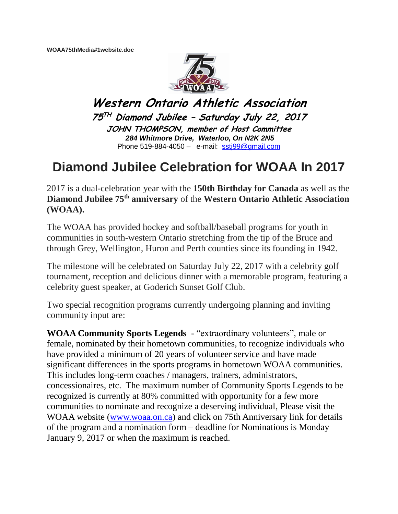**WOAA75thMedia#1website.doc**



**Western Ontario Athletic Association 75 TH Diamond Jubilee – Saturday July 22, 2017 JOHN THOMPSON, member of Host Committee** *284 Whitmore Drive, Waterloo, On N2K 2N5* Phone 519-884-4050 – e-mail: [sstj99@gmail.com](mailto:sstj99@gmail.com)

## **Diamond Jubilee Celebration for WOAA In 2017**

2017 is a dual-celebration year with the **150th Birthday for Canada** as well as the **Diamond Jubilee 75th anniversary** of the **Western Ontario Athletic Association (WOAA).**

The WOAA has provided hockey and softball/baseball programs for youth in communities in south-western Ontario stretching from the tip of the Bruce and through Grey, Wellington, Huron and Perth counties since its founding in 1942.

The milestone will be celebrated on Saturday July 22, 2017 with a celebrity golf tournament, reception and delicious dinner with a memorable program, featuring a celebrity guest speaker, at Goderich Sunset Golf Club.

Two special recognition programs currently undergoing planning and inviting community input are:

**WOAA Community Sports Legends** - "extraordinary volunteers", male or female, nominated by their hometown communities, to recognize individuals who have provided a minimum of 20 years of volunteer service and have made significant differences in the sports programs in hometown WOAA communities. This includes long-term coaches / managers, trainers, administrators, concessionaires, etc. The maximum number of Community Sports Legends to be recognized is currently at 80% committed with opportunity for a few more communities to nominate and recognize a deserving individual, Please visit the WOAA website [\(www.woaa.on.ca\)](http://www.woaa.on.ca/) and click on 75th Anniversary link for details of the program and a nomination form – deadline for Nominations is Monday January 9, 2017 or when the maximum is reached.